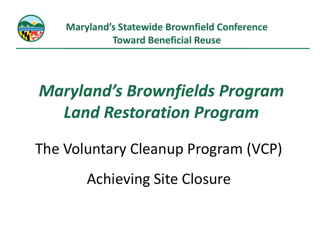

# *Maryland's Brownfields Program Land Restoration Program*

The Voluntary Cleanup Program (VCP) Achieving Site Closure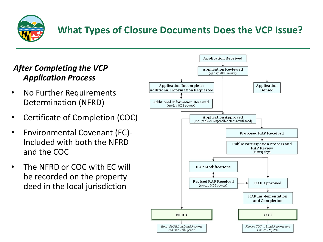

#### **What Types of Closure Documents Does the VCP Issue?**

#### *After Completing the VCP Application Process*

- No Further Requirements Determination (NFRD)
- Certificate of Completion (COC)
- Environmental Covenant (EC)- Included with both the NFRD and the COC
- The NFRD or COC with EC will be recorded on the property deed in the local jurisdiction

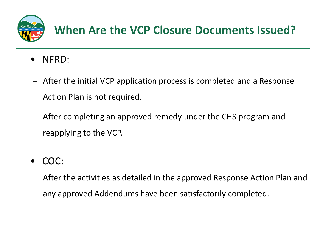

- NFRD:
- After the initial VCP application process is completed and a Response Action Plan is not required.
- After completing an approved remedy under the CHS program and reapplying to the VCP.
- COC:
- After the activities as detailed in the approved Response Action Plan and any approved Addendums have been satisfactorily completed.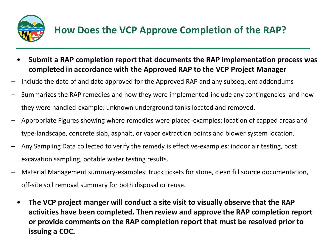

#### **How Does the VCP Approve Completion of the RAP?**

- **Submit a RAP completion report that documents the RAP implementation process was completed in accordance with the Approved RAP to the VCP Project Manager**
- Include the date of and date approved for the Approved RAP and any subsequent addendums
- Summarizes the RAP remedies and how they were implemented-include any contingencies and how they were handled-example: unknown underground tanks located and removed.
- Appropriate Figures showing where remedies were placed-examples: location of capped areas and type-landscape, concrete slab, asphalt, or vapor extraction points and blower system location.
- Any Sampling Data collected to verify the remedy is effective-examples: indoor air testing, post excavation sampling, potable water testing results.
- Material Management summary-examples: truck tickets for stone, clean fill source documentation, off-site soil removal summary for both disposal or reuse.
	- **The VCP project manger will conduct a site visit to visually observe that the RAP activities have been completed. Then review and approve the RAP completion report or provide comments on the RAP completion report that must be resolved prior to issuing a COC.**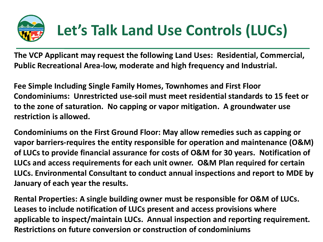

**The VCP Applicant may request the following Land Uses: Residential, Commercial, Public Recreational Area-low, moderate and high frequency and Industrial.**

**Fee Simple Including Single Family Homes, Townhomes and First Floor Condominiums: Unrestricted use-soil must meet residential standards to 15 feet or to the zone of saturation. No capping or vapor mitigation. A groundwater use restriction is allowed.**

**Condominiums on the First Ground Floor: May allow remedies such as capping or vapor barriers-requires the entity responsible for operation and maintenance (O&M) of LUCs to provide financial assurance for costs of O&M for 30 years. Notification of LUCs and access requirements for each unit owner. O&M Plan required for certain LUCs. Environmental Consultant to conduct annual inspections and report to MDE by January of each year the results.**

**Rental Properties: A single building owner must be responsible for O&M of LUCs. Leases to include notification of LUCs present and access provisions where applicable to inspect/maintain LUCs. Annual inspection and reporting requirement. Restrictions on future conversion or construction of condominiums**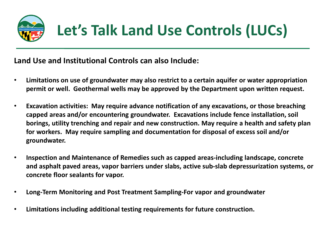

**Land Use and Institutional Controls can also Include:**

- **Limitations on use of groundwater may also restrict to a certain aquifer or water appropriation permit or well. Geothermal wells may be approved by the Department upon written request.**
- **Excavation activities: May require advance notification of any excavations, or those breaching capped areas and/or encountering groundwater. Excavations include fence installation, soil borings, utility trenching and repair and new construction. May require a health and safety plan for workers. May require sampling and documentation for disposal of excess soil and/or groundwater.**
- **Inspection and Maintenance of Remedies such as capped areas-including landscape, concrete and asphalt paved areas, vapor barriers under slabs, active sub-slab depressurization systems, or concrete floor sealants for vapor.**
- **Long-Term Monitoring and Post Treatment Sampling-For vapor and groundwater**
- **Limitations including additional testing requirements for future construction.**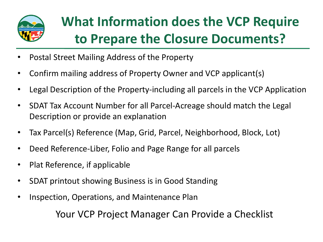

## **What Information does the VCP Require to Prepare the Closure Documents?**

- Postal Street Mailing Address of the Property
- Confirm mailing address of Property Owner and VCP applicant(s)
- Legal Description of the Property-including all parcels in the VCP Application
- SDAT Tax Account Number for all Parcel-Acreage should match the Legal Description or provide an explanation
- Tax Parcel(s) Reference (Map, Grid, Parcel, Neighborhood, Block, Lot)
- Deed Reference-Liber, Folio and Page Range for all parcels
- Plat Reference, if applicable
- SDAT printout showing Business is in Good Standing
- Inspection, Operations, and Maintenance Plan

Your VCP Project Manager Can Provide a Checklist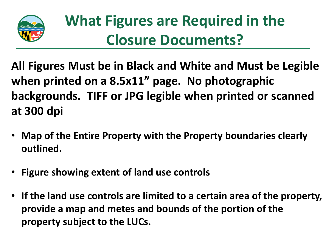

## **What Figures are Required in the Closure Documents?**

**All Figures Must be in Black and White and Must be Legible when printed on a 8.5x11" page. No photographic backgrounds. TIFF or JPG legible when printed or scanned at 300 dpi**

- **Map of the Entire Property with the Property boundaries clearly outlined.**
- **Figure showing extent of land use controls**
- **If the land use controls are limited to a certain area of the property, provide a map and metes and bounds of the portion of the property subject to the LUCs.**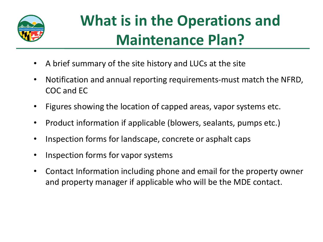

## **What is in the Operations and Maintenance Plan?**

- A brief summary of the site history and LUCs at the site
- Notification and annual reporting requirements-must match the NFRD, COC and EC
- Figures showing the location of capped areas, vapor systems etc.
- Product information if applicable (blowers, sealants, pumps etc.)
- Inspection forms for landscape, concrete or asphalt caps
- Inspection forms for vapor systems
- Contact Information including phone and email for the property owner and property manager if applicable who will be the MDE contact.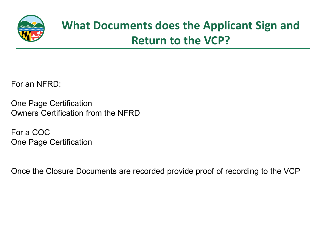

### **What Documents does the Applicant Sign and Return to the VCP?**

For an NFRD:

One Page Certification Owners Certification from the NFRD

For a COC One Page Certification

Once the Closure Documents are recorded provide proof of recording to the VCP